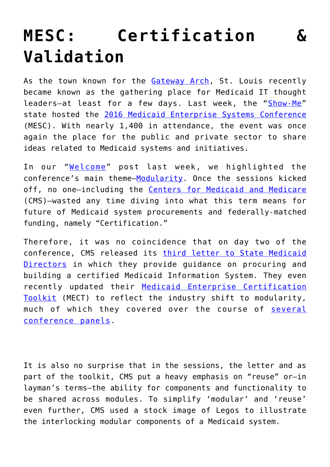## **[MESC: Certification &](https://www.cns-inc.com/insights/thought-leadership/mesc-certification-validation/) [Validation](https://www.cns-inc.com/insights/thought-leadership/mesc-certification-validation/)**

As the town known for the [Gateway Arch,](http://www.gatewayarch.com/) St. Louis recently became known as the gathering place for Medicaid IT thought leaders-at least for a few days. Last week, the "[Show-Me"](http://www.sos.mo.gov/archives/history/slogan.asp) state hosted the [2016 Medicaid Enterprise Systems Conference](http://www.mesconference.org/) (MESC). With nearly 1,400 in attendance, the event was once again the place for the public and private sector to share ideas related to Medicaid systems and initiatives.

In our "[Welcome"](https://www.cns-inc.com/blog/mesc-2016-come-build-and-explore) post last week, we highlighted the conference's main theme—[Modularity](https://www.cns-inc.com/sites/default/files/CNSI%20Modularity%20White%20Paper%20-%20FINAL.pdf). Once the sessions kicked off, no one—including the [Centers for Medicaid and Medicare](https://www.cms.gov/) (CMS)—wasted any time diving into what this term means for future of Medicaid system procurements and federally-matched funding, namely "Certification."

Therefore, it was no coincidence that on day two of the conference, CMS released its [third letter to State Medicaid](https://www.medicaid.gov/federal-policy-guidance/downloads/smd16010.pdf?linkId=27718079) [Directors](https://www.medicaid.gov/federal-policy-guidance/downloads/smd16010.pdf?linkId=27718079) in which they provide guidance on procuring and building a certified Medicaid Information System. They even recently updated their [Medicaid Enterprise Certification](https://www.medicaid.gov/medicaid-chip-program-information/by-topics/data-and-systems/mect.html) [Toolkit](https://www.medicaid.gov/medicaid-chip-program-information/by-topics/data-and-systems/mect.html) (MECT) to reflect the industry shift to modularity, much of which they covered over the course of [several](http://www.mesconference.org/agenda/list-view/?track=&date=&title=CMS&speaker=&moderator=&search=Search%21) [conference panels.](http://www.mesconference.org/agenda/list-view/?track=&date=&title=CMS&speaker=&moderator=&search=Search%21)

It is also no surprise that in the sessions, the letter and as part of the toolkit, CMS put a heavy emphasis on "reuse" or—in layman's terms—the ability for components and functionality to be shared across modules. To simplify 'modular' and 'reuse' even further, CMS used a stock image of Legos to illustrate the interlocking modular components of a Medicaid system.